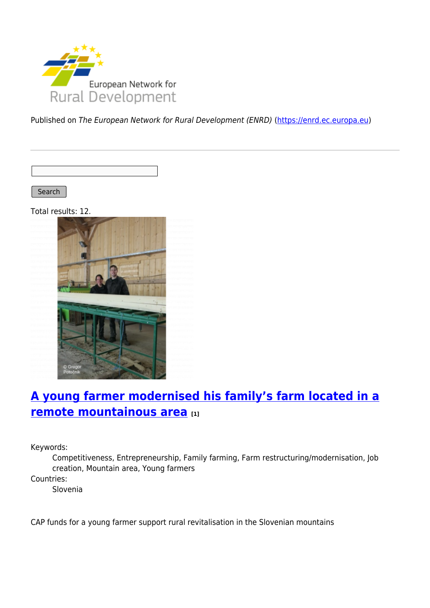

Published on The European Network for Rural Development (ENRD) [\(https://enrd.ec.europa.eu](https://enrd.ec.europa.eu))

Search

Total results: 12.



# **[A young farmer modernised his family's farm located in a](https://enrd.ec.europa.eu/projects-practice/young-farmer-modernised-his-familys-farm-located-remote-mountainous-area_en) [remote mountainous area](https://enrd.ec.europa.eu/projects-practice/young-farmer-modernised-his-familys-farm-located-remote-mountainous-area_en) [1]**

Keywords:

Competitiveness, Entrepreneurship, Family farming, Farm restructuring/modernisation, Job creation, Mountain area, Young farmers

Countries:

Slovenia

CAP funds for a young farmer support rural revitalisation in the Slovenian mountains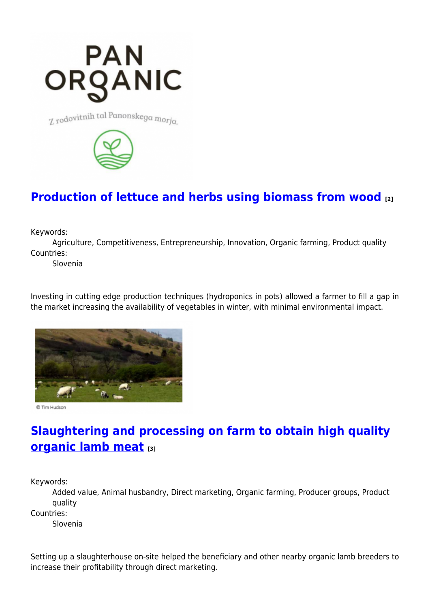

7. rodovitnih tal Panonskega morja



### **[Production of lettuce and herbs using biomass from wood](https://enrd.ec.europa.eu/projects-practice/production-lettuce-and-herbs-using-biomass-wood_en) [2]**

Keywords:

Agriculture, Competitiveness, Entrepreneurship, Innovation, Organic farming, Product quality Countries:

Slovenia

Investing in cutting edge production techniques (hydroponics in pots) allowed a farmer to fill a gap in the market increasing the availability of vegetables in winter, with minimal environmental impact.



© Tim Hudson

# **[Slaughtering and processing on farm to obtain high quality](https://enrd.ec.europa.eu/projects-practice/slaughtering-and-processing-farm-obtain-high-quality-organic-lamb-meat_en) [organic lamb meat](https://enrd.ec.europa.eu/projects-practice/slaughtering-and-processing-farm-obtain-high-quality-organic-lamb-meat_en) [3]**

Keywords:

Added value, Animal husbandry, Direct marketing, Organic farming, Producer groups, Product quality

Countries:

Slovenia

Setting up a slaughterhouse on-site helped the beneficiary and other nearby organic lamb breeders to increase their profitability through direct marketing.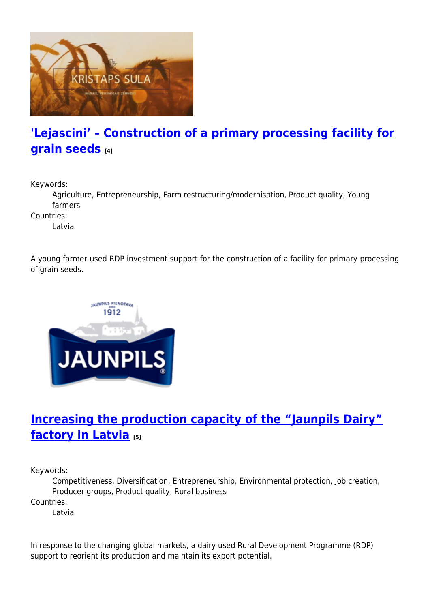

## **['Lejascini' – Construction of a primary processing facility for](https://enrd.ec.europa.eu/projects-practice/lejascini-construction-primary-processing-facility-grain-seeds_en) [grain seeds](https://enrd.ec.europa.eu/projects-practice/lejascini-construction-primary-processing-facility-grain-seeds_en) [4]**

Keywords:

Agriculture, Entrepreneurship, Farm restructuring/modernisation, Product quality, Young farmers

Countries:

Latvia

A young farmer used RDP investment support for the construction of a facility for primary processing of grain seeds.



### **[Increasing the production capacity of the "Jaunpils Dairy"](https://enrd.ec.europa.eu/projects-practice/increasing-production-capacity-jaunpils-dairy-factory-latvia_en) [factory in Latvia](https://enrd.ec.europa.eu/projects-practice/increasing-production-capacity-jaunpils-dairy-factory-latvia_en) [5]**

Keywords:

Competitiveness, Diversification, Entrepreneurship, Environmental protection, Job creation, Producer groups, Product quality, Rural business

Countries:

Latvia

In response to the changing global markets, a dairy used Rural Development Programme (RDP) support to reorient its production and maintain its export potential.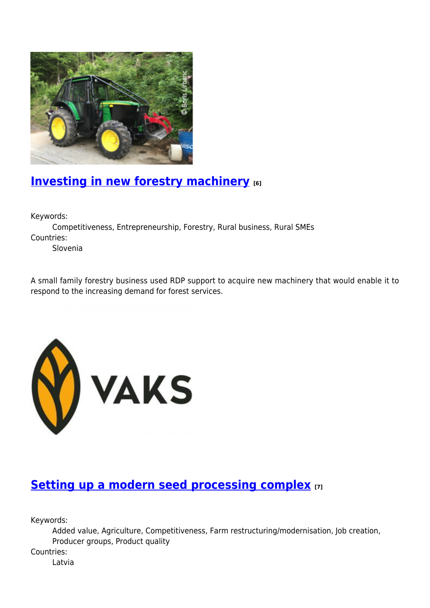

### **[Investing in new forestry machinery](https://enrd.ec.europa.eu/projects-practice/investing-new-forestry-machinery_en) [6]**

Keywords:

Competitiveness, Entrepreneurship, Forestry, Rural business, Rural SMEs Countries:

Slovenia

A small family forestry business used RDP support to acquire new machinery that would enable it to respond to the increasing demand for forest services.



#### **[Setting up a modern seed processing complex](https://enrd.ec.europa.eu/projects-practice/setting-modern-seed-processing-complex_en) [7]**

Keywords:

Added value, Agriculture, Competitiveness, Farm restructuring/modernisation, Job creation, Producer groups, Product quality

Countries:

Latvia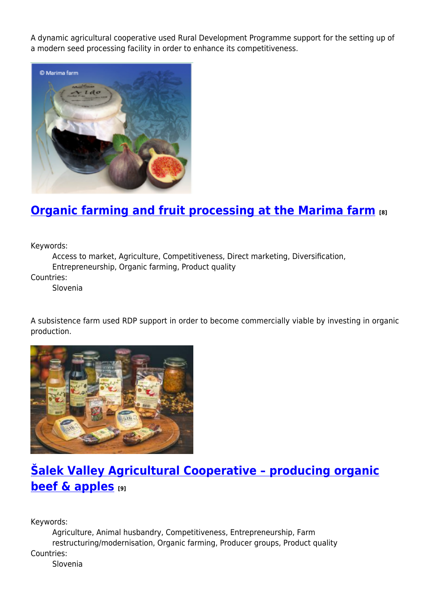A dynamic agricultural cooperative used Rural Development Programme support for the setting up of a modern seed processing facility in order to enhance its competitiveness.



### **[Organic farming and fruit processing at the Marima farm](https://enrd.ec.europa.eu/projects-practice/organic-farming-and-fruit-processing-marima-farm_en) [8]**

Keywords:

Access to market, Agriculture, Competitiveness, Direct marketing, Diversification, Entrepreneurship, Organic farming, Product quality

Countries:

Slovenia

A subsistence farm used RDP support in order to become commercially viable by investing in organic production.



# **[Šalek Valley Agricultural Cooperative – producing organic](https://enrd.ec.europa.eu/projects-practice/salek-valley-agricultural-cooperative-producing-organic-beef-apples_en) [beef & apples](https://enrd.ec.europa.eu/projects-practice/salek-valley-agricultural-cooperative-producing-organic-beef-apples_en) [9]**

Keywords:

Agriculture, Animal husbandry, Competitiveness, Entrepreneurship, Farm restructuring/modernisation, Organic farming, Producer groups, Product quality Countries: Slovenia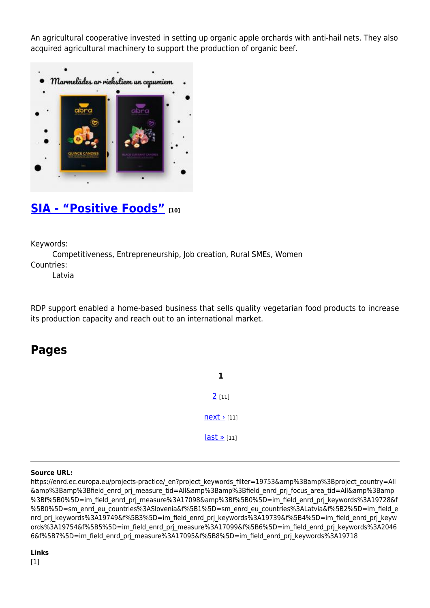An agricultural cooperative invested in setting up organic apple orchards with anti-hail nets. They also acquired agricultural machinery to support the production of organic beef.



#### **[SIA - "Positive Foods"](https://enrd.ec.europa.eu/projects-practice/sia-positive-foods_en) [10]**

Keywords:

Competitiveness, Entrepreneurship, Job creation, Rural SMEs, Women Countries:

Latvia

RDP support enabled a home-based business that sells quality vegetarian food products to increase its production capacity and reach out to an international market.

#### **Pages**

**1**  $2$  [11]  $next$  [11]  $last \times [11]$ 

#### **Source URL:**

https://enrd.ec.europa.eu/projects-practice/\_en?project\_keywords\_filter=19753&amp%3Bamp%3Bproject\_country=All &amp%3Bamp%3Bfield\_enrd\_prj\_measure\_tid=All&amp%3Bamp%3Bfield\_enrd\_prj\_focus\_area\_tid=All&amp%3Bamp %3Bf%5B0%5D=im\_field\_enrd\_prj\_measure%3A17098&amp%3Bf%5B0%5D=im\_field\_enrd\_prj\_keywords%3A19728&f %5B0%5D=sm\_enrd\_eu\_countries%3ASlovenia&f%5B1%5D=sm\_enrd\_eu\_countries%3ALatvia&f%5B2%5D=im\_field\_e nrd prj keywords%3A19749&f%5B3%5D=im field enrd prj keywords%3A19739&f%5B4%5D=im field enrd prj keyw ords%3A19754&f%5B5%5D=im\_field\_enrd\_prj\_measure%3A17099&f%5B6%5D=im\_field\_enrd\_prj\_keywords%3A2046 6&f%5B7%5D=im\_field\_enrd\_prj\_measure%3A17095&f%5B8%5D=im\_field\_enrd\_prj\_keywords%3A19718

#### **Links**  $[1]$